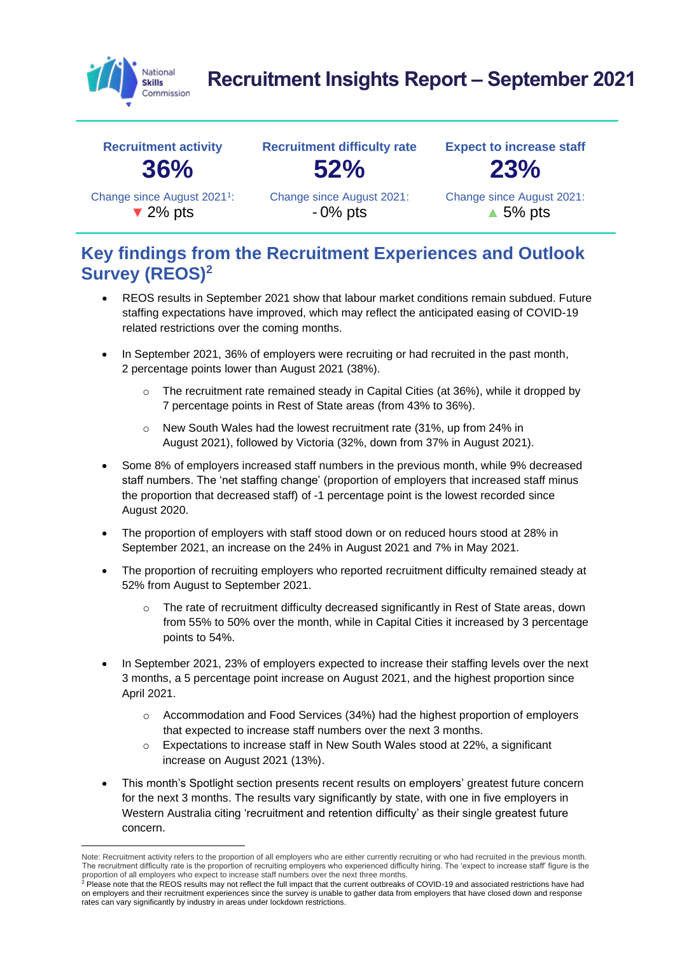

# **Recruitment Insights Report – September 2021**



## **Key findings from the Recruitment Experiences and Outlook Survey (REOS)<sup>2</sup>**

- REOS results in September 2021 show that labour market conditions remain subdued. Future staffing expectations have improved, which may reflect the anticipated easing of COVID-19 related restrictions over the coming months.
- In September 2021, 36% of employers were recruiting or had recruited in the past month, 2 percentage points lower than August 2021 (38%).
	- The recruitment rate remained steady in Capital Cities (at 36%), while it dropped by 7 percentage points in Rest of State areas (from 43% to 36%).
	- o New South Wales had the lowest recruitment rate (31%, up from 24% in August 2021), followed by Victoria (32%, down from 37% in August 2021).
- Some 8% of employers increased staff numbers in the previous month, while 9% decreased staff numbers. The 'net staffing change' (proportion of employers that increased staff minus the proportion that decreased staff) of -1 percentage point is the lowest recorded since August 2020.
- The proportion of employers with staff stood down or on reduced hours stood at 28% in September 2021, an increase on the 24% in August 2021 and 7% in May 2021.
- The proportion of recruiting employers who reported recruitment difficulty remained steady at 52% from August to September 2021.
	- The rate of recruitment difficulty decreased significantly in Rest of State areas, down from 55% to 50% over the month, while in Capital Cities it increased by 3 percentage points to 54%.
- In September 2021, 23% of employers expected to increase their staffing levels over the next 3 months, a 5 percentage point increase on August 2021, and the highest proportion since April 2021.
	- $\circ$  Accommodation and Food Services (34%) had the highest proportion of employers that expected to increase staff numbers over the next 3 months.
	- o Expectations to increase staff in New South Wales stood at 22%, a significant increase on August 2021 (13%).
- This month's Spotlight section presents recent results on employers' greatest future concern for the next 3 months. The results vary significantly by state, with one in five employers in Western Australia citing 'recruitment and retention difficulty' as their single greatest future concern.

Note: Recruitment activity refers to the proportion of all employers who are either currently recruiting or who had recruited in the previous month. The recruitment difficulty rate is the proportion of recruiting employers who experienced difficulty hiring. The 'expect to increase staff' figure is the proportion of all employers who expect to increase staff numbers over the next three months.<br><sup>2</sup> Please note that the REOS results may not reflect the full impact that the current outbreaks of COVID-19 and associated restr

on employers and their recruitment experiences since the survey is unable to gather data from employers that have closed down and response rates can vary significantly by industry in areas under lockdown restrictions.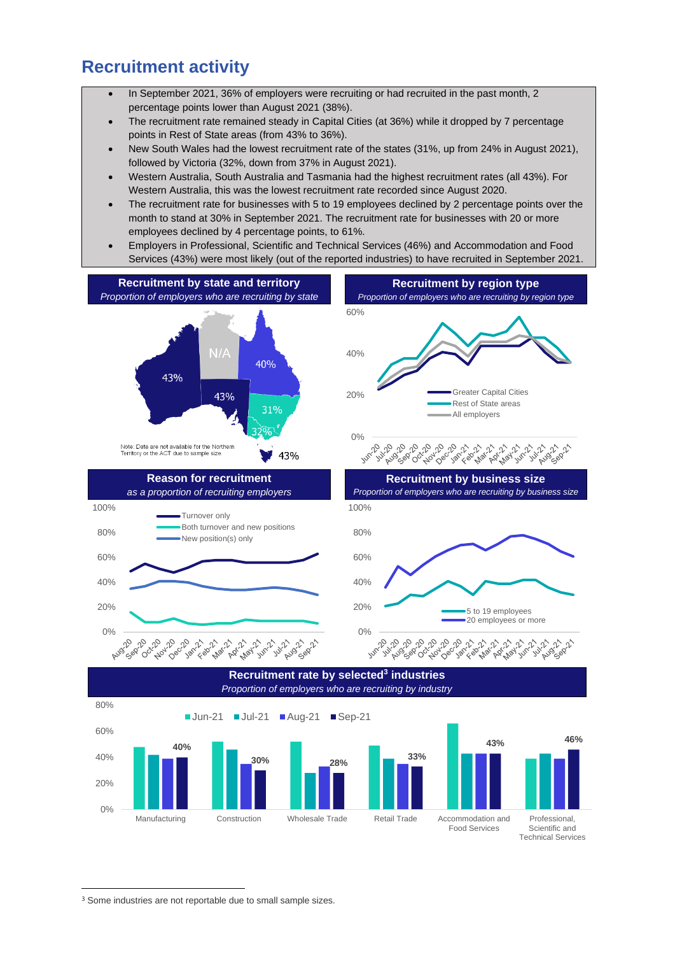#### **Recruitment activity**

- In September 2021, 36% of employers were recruiting or had recruited in the past month, 2 percentage points lower than August 2021 (38%).
- The recruitment rate remained steady in Capital Cities (at 36%) while it dropped by 7 percentage points in Rest of State areas (from 43% to 36%).
- New South Wales had the lowest recruitment rate of the states (31%, up from 24% in August 2021), followed by Victoria (32%, down from 37% in August 2021).
- Western Australia, South Australia and Tasmania had the highest recruitment rates (all 43%). For Western Australia, this was the lowest recruitment rate recorded since August 2020.
- The recruitment rate for businesses with 5 to 19 employees declined by 2 percentage points over the month to stand at 30% in September 2021. The recruitment rate for businesses with 20 or more employees declined by 4 percentage points, to 61%.
- Employers in Professional, Scientific and Technical Services (46%) and Accommodation and Food Services (43%) were most likely (out of the reported industries) to have recruited in September 2021.



Food Services

Scientific and Technical Services

<sup>&</sup>lt;sup>3</sup> Some industries are not reportable due to small sample sizes.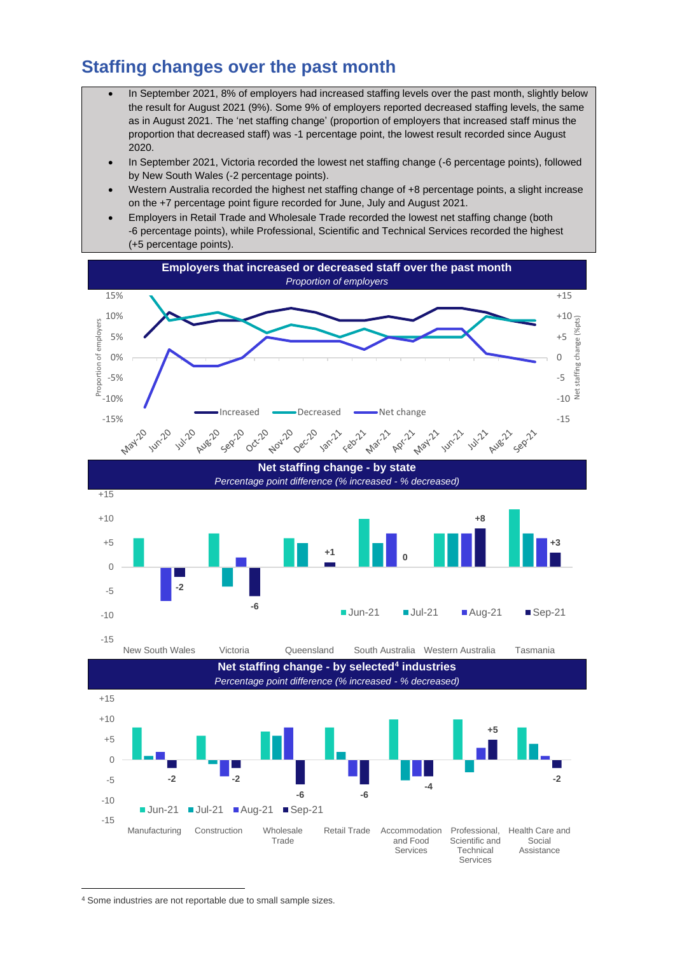#### **Staffing changes over the past month**

- In September 2021, 8% of employers had increased staffing levels over the past month, slightly below the result for August 2021 (9%). Some 9% of employers reported decreased staffing levels, the same as in August 2021. The 'net staffing change' (proportion of employers that increased staff minus the proportion that decreased staff) was -1 percentage point, the lowest result recorded since August 2020.
- In September 2021, Victoria recorded the lowest net staffing change (-6 percentage points), followed by New South Wales (-2 percentage points).
- Western Australia recorded the highest net staffing change of +8 percentage points, a slight increase on the +7 percentage point figure recorded for June, July and August 2021.
- Employers in Retail Trade and Wholesale Trade recorded the lowest net staffing change (both -6 percentage points), while Professional, Scientific and Technical Services recorded the highest (+5 percentage points).



<sup>4</sup> Some industries are not reportable due to small sample sizes.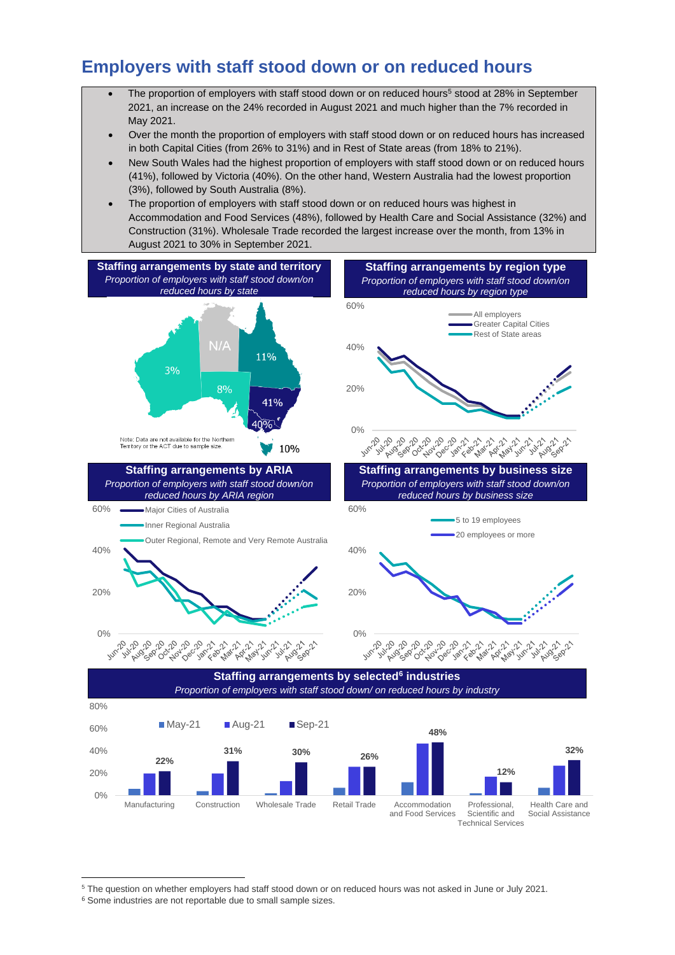### **Employers with staff stood down or on reduced hours**

- The proportion of employers with staff stood down or on reduced hours<sup>5</sup> stood at 28% in September 2021, an increase on the 24% recorded in August 2021 and much higher than the 7% recorded in May 2021.
- Over the month the proportion of employers with staff stood down or on reduced hours has increased in both Capital Cities (from 26% to 31%) and in Rest of State areas (from 18% to 21%).
- New South Wales had the highest proportion of employers with staff stood down or on reduced hours (41%), followed by Victoria (40%). On the other hand, Western Australia had the lowest proportion (3%), followed by South Australia (8%).
- The proportion of employers with staff stood down or on reduced hours was highest in Accommodation and Food Services (48%), followed by Health Care and Social Assistance (32%) and Construction (31%). Wholesale Trade recorded the largest increase over the month, from 13% in August 2021 to 30% in September 2021.



Technical Services

<sup>5</sup> The question on whether employers had staff stood down or on reduced hours was not asked in June or July 2021.

<sup>&</sup>lt;sup>6</sup> Some industries are not reportable due to small sample sizes.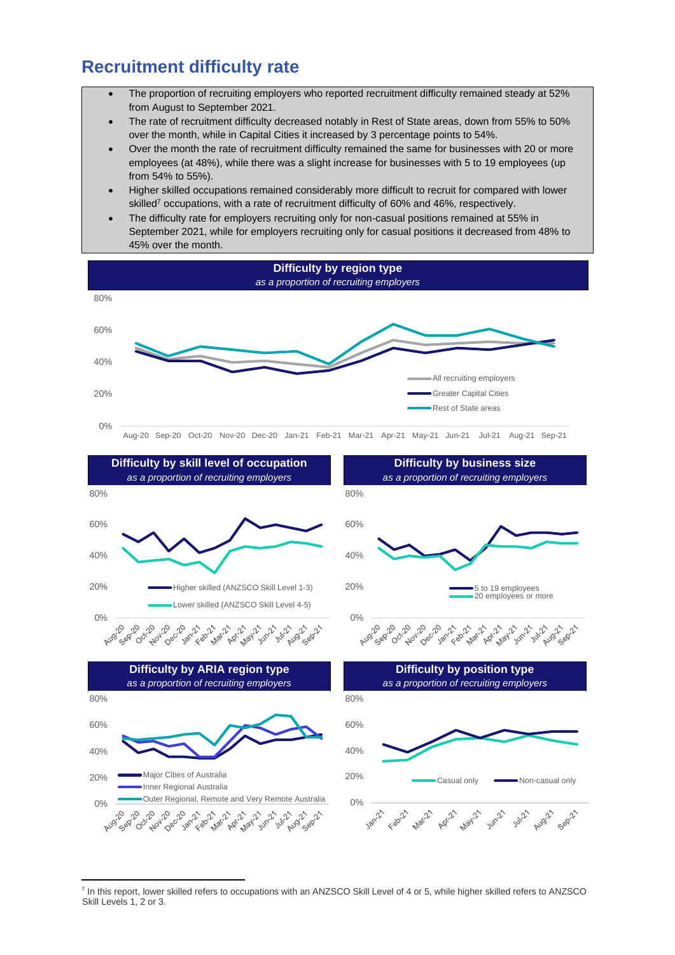#### **Recruitment difficulty rate**

- The proportion of recruiting employers who reported recruitment difficulty remained steady at 52% from August to September 2021.
- The rate of recruitment difficulty decreased notably in Rest of State areas, down from 55% to 50% over the month, while in Capital Cities it increased by 3 percentage points to 54%.
- Over the month the rate of recruitment difficulty remained the same for businesses with 20 or more employees (at 48%), while there was a slight increase for businesses with 5 to 19 employees (up from 54% to 55%).
- Higher skilled occupations remained considerably more difficult to recruit for compared with lower skilled<sup>7</sup> occupations, with a rate of recruitment difficulty of 60% and 46%, respectively.
- The difficulty rate for employers recruiting only for non-casual positions remained at 55% in September 2021, while for employers recruiting only for casual positions it decreased from 48% to 45% over the month.



<sup>&</sup>lt;sup>7</sup> In this report, lower skilled refers to occupations with an ANZSCO Skill Level of 4 or 5, while higher skilled refers to ANZSCO Skill Levels 1, 2 or 3.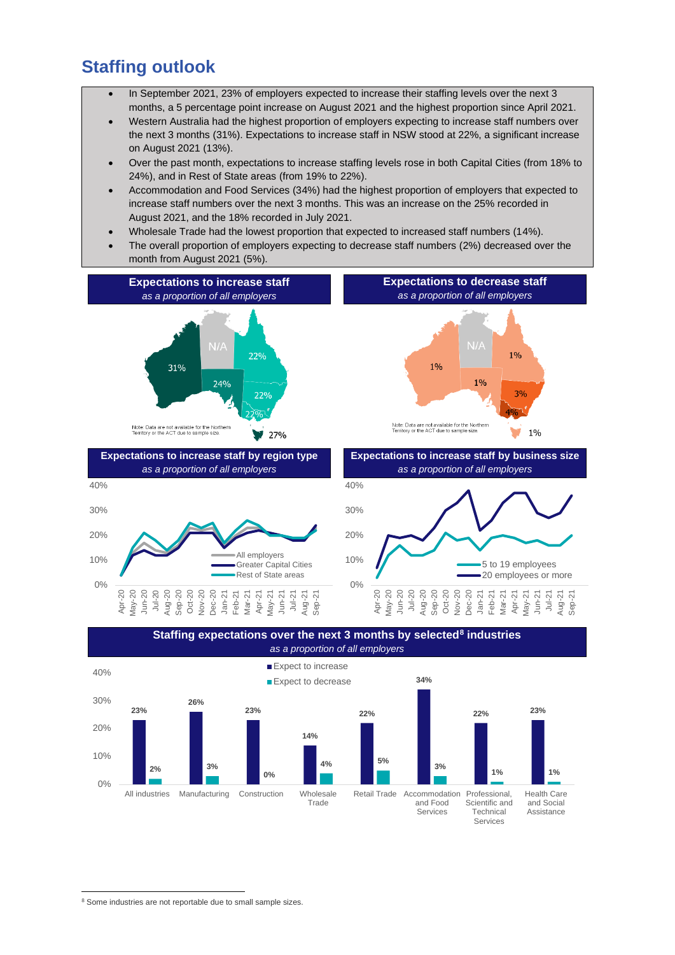#### **Staffing outlook**

- In September 2021, 23% of employers expected to increase their staffing levels over the next 3 months, a 5 percentage point increase on August 2021 and the highest proportion since April 2021.
- Western Australia had the highest proportion of employers expecting to increase staff numbers over the next 3 months (31%). Expectations to increase staff in NSW stood at 22%, a significant increase on August 2021 (13%).
- Over the past month, expectations to increase staffing levels rose in both Capital Cities (from 18% to 24%), and in Rest of State areas (from 19% to 22%).
- Accommodation and Food Services (34%) had the highest proportion of employers that expected to increase staff numbers over the next 3 months. This was an increase on the 25% recorded in August 2021, and the 18% recorded in July 2021.
- Wholesale Trade had the lowest proportion that expected to increased staff numbers (14%).
- The overall proportion of employers expecting to decrease staff numbers (2%) decreased over the month from August 2021 (5%).







<sup>&</sup>lt;sup>8</sup> Some industries are not reportable due to small sample sizes.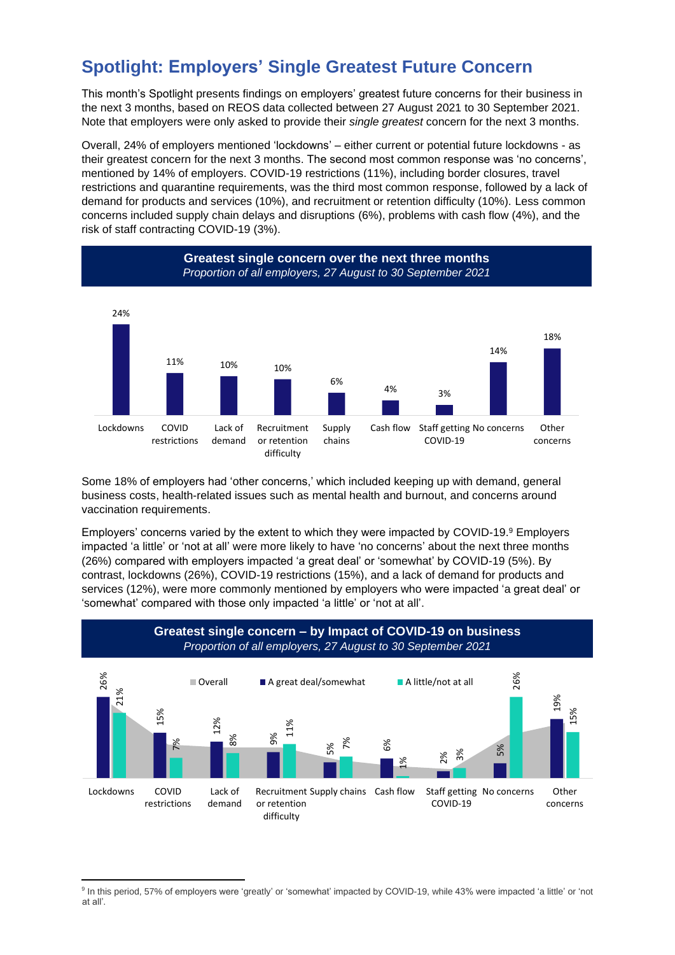## **Spotlight: Employers' Single Greatest Future Concern**

This month's Spotlight presents findings on employers' greatest future concerns for their business in the next 3 months, based on REOS data collected between 27 August 2021 to 30 September 2021. Note that employers were only asked to provide their *single greatest* concern for the next 3 months.

Overall, 24% of employers mentioned 'lockdowns' – either current or potential future lockdowns - as their greatest concern for the next 3 months. The second most common response was 'no concerns', mentioned by 14% of employers. COVID-19 restrictions (11%), including border closures, travel restrictions and quarantine requirements, was the third most common response, followed by a lack of demand for products and services (10%), and recruitment or retention difficulty (10%). Less common concerns included supply chain delays and disruptions (6%), problems with cash flow (4%), and the risk of staff contracting COVID-19 (3%).



Some 18% of employers had 'other concerns,' which included keeping up with demand, general business costs, health-related issues such as mental health and burnout, and concerns around vaccination requirements.

Employers' concerns varied by the extent to which they were impacted by COVID-19. <sup>9</sup> Employers impacted 'a little' or 'not at all' were more likely to have 'no concerns' about the next three months (26%) compared with employers impacted 'a great deal' or 'somewhat' by COVID-19 (5%). By contrast, lockdowns (26%), COVID-19 restrictions (15%), and a lack of demand for products and services (12%), were more commonly mentioned by employers who were impacted 'a great deal' or 'somewhat' compared with those only impacted 'a little' or 'not at all'.



<sup>&</sup>lt;sup>9</sup> In this period, 57% of employers were 'greatly' or 'somewhat' impacted by COVID-19, while 43% were impacted 'a little' or 'not at all'.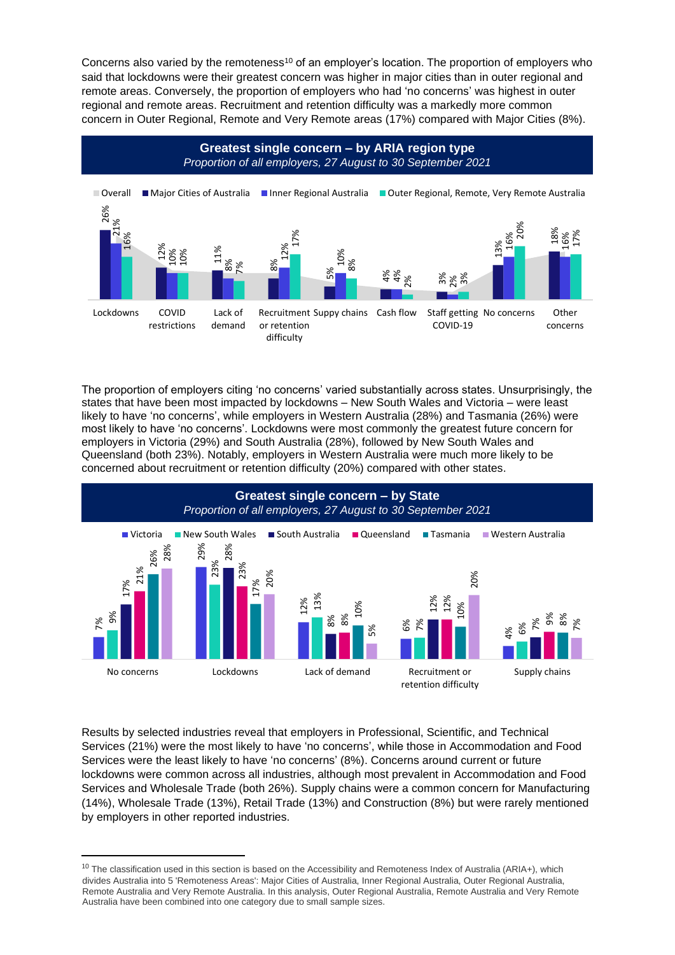Concerns also varied by the remoteness<sup>10</sup> of an employer's location. The proportion of employers who said that lockdowns were their greatest concern was higher in major cities than in outer regional and remote areas. Conversely, the proportion of employers who had 'no concerns' was highest in outer regional and remote areas. Recruitment and retention difficulty was a markedly more common concern in Outer Regional, Remote and Very Remote areas (17%) compared with Major Cities (8%).



The proportion of employers citing 'no concerns' varied substantially across states. Unsurprisingly, the states that have been most impacted by lockdowns – New South Wales and Victoria – were least likely to have 'no concerns', while employers in Western Australia (28%) and Tasmania (26%) were most likely to have 'no concerns'. Lockdowns were most commonly the greatest future concern for employers in Victoria (29%) and South Australia (28%), followed by New South Wales and Queensland (both 23%). Notably, employers in Western Australia were much more likely to be concerned about recruitment or retention difficulty (20%) compared with other states.



Results by selected industries reveal that employers in Professional, Scientific, and Technical Services (21%) were the most likely to have 'no concerns', while those in Accommodation and Food Services were the least likely to have 'no concerns' (8%). Concerns around current or future lockdowns were common across all industries, although most prevalent in Accommodation and Food Services and Wholesale Trade (both 26%). Supply chains were a common concern for Manufacturing (14%), Wholesale Trade (13%), Retail Trade (13%) and Construction (8%) but were rarely mentioned by employers in other reported industries.

 $10$  The classification used in this section is based on the Accessibility and Remoteness Index of Australia (ARIA+), which divides Australia into 5 'Remoteness Areas': Major Cities of Australia, Inner Regional Australia, Outer Regional Australia, Remote Australia and Very Remote Australia. In this analysis, Outer Regional Australia, Remote Australia and Very Remote<br>Australia have been combined into one category due to small sample sizes.